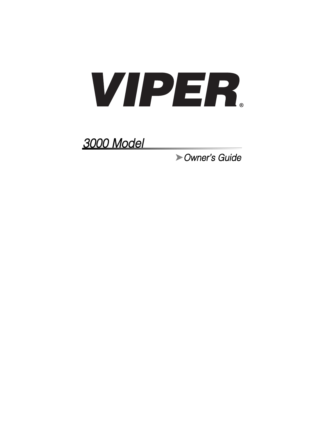

3000 Model

➤Owner's Guide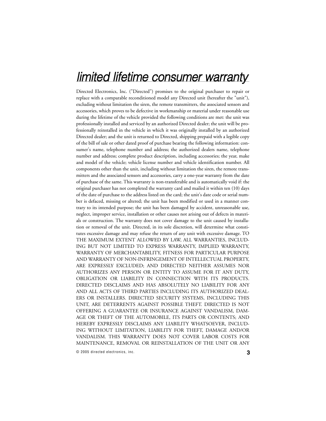# limited lifetime consumer warranty

Directed Electronics, Inc. ("Directed") promises to the original purchaser to repair or replace with a comparable reconditioned model any Directed unit (hereafter the "unit"), excluding without limitation the siren, the remote transmitters, the associated sensors and accessories, which proves to be defective in workmanship or material under reasonable use during the lifetime of the vehicle provided the following conditions are met: the unit was professionally installed and serviced by an authorized Directed dealer; the unit will be professionally reinstalled in the vehicle in which it was originally installed by an authorized Directed dealer; and the unit is returned to Directed, shipping prepaid with a legible copy of the bill of sale or other dated proof of purchase bearing the following information: consumer's name, telephone number and address; the authorized dealers name, telephone number and address; complete product description, including accessories; the year, make and model of the vehicle; vehicle license number and vehicle identification number. All components other than the unit, including without limitation the siren, the remote transmitters and the associated sensors and accessories, carry a one-year warranty from the date of purchase of the same. This warranty is non-transferable and is automatically void if: the original purchaser has not completed the warranty card and mailed it within ten (10) days of the date of purchase to the address listed on the card; the unit's date code or serial number is defaced, missing or altered; the unit has been modified or used in a manner contrary to its intended purpose; the unit has been damaged by accident, unreasonable use, neglect, improper service, installation or other causes not arising out of defects in materials or construction. The warranty does not cover damage to the unit caused by installation or removal of the unit. Directed, in its sole discretion, will determine what constitutes excessive damage and may refuse the return of any unit with excessive damage. TO THE MAXIMUM EXTENT ALLOWED BY LAW, ALL WARRANTIES, INCLUD-ING BUT NOT LIMITED TO EXPRESS WARRANTY, IMPLIED WARRANTY, WARRANTY OF MERCHANTABILITY, FITNESS FOR PARTICULAR PURPOSE AND WARRANTY OF NON-INFRINGEMENT OF INTELLECTUAL PROPERTY, ARE EXPRESSLY EXCLUDED; AND DIRECTED NEITHER ASSUMES NOR AUTHORIZES ANY PERSON OR ENTITY TO ASSUME FOR IT ANY DUTY, OBLIGATION OR LIABILITY IN CONNECTION WITH ITS PRODUCTS. DIRECTED DISCLAIMS AND HAS ABSOLUTELY NO LIABILITY FOR ANY AND ALL ACTS OF THIRD PARTIES INCLUDING ITS AUTHORIZED DEAL-ERS OR INSTALLERS. DIRECTED SECURITY SYSTEMS, INCLUDING THIS UNIT, ARE DETERRENTS AGAINST POSSIBLE THEFT. DIRECTED IS NOT OFFERING A GUARANTEE OR INSURANCE AGAINST VANDALISM, DAM-AGE OR THEFT OF THE AUTOMOBILE, ITS PARTS OR CONTENTS; AND HEREBY EXPRESSLY DISCLAIMS ANY LIABILITY WHATSOEVER, INCLUD-ING WITHOUT LIMITATION, LIABILITY FOR THEFT, DAMAGE AND/OR VANDALISM. THIS WARRANTY DOES NOT COVER LABOR COSTS FOR MAINTENANCE, REMOVAL OR REINSTALLATION OF THE UNIT OR ANY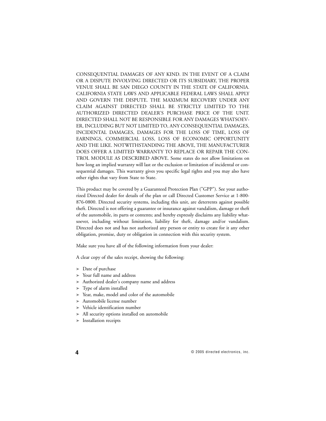CONSEQUENTIAL DAMAGES OF ANY KIND. IN THE EVENT OF A CLAIM OR A DISPUTE INVOLVING DIRECTED OR ITS SUBSIDIARY, THE PROPER VENUE SHALL BE SAN DIEGO COUNTY IN THE STATE OF CALIFORNIA. CALIFORNIA STATE LAWS AND APPLICABLE FEDERAL LAWS SHALL APPLY AND GOVERN THE DISPUTE. THE MAXIMUM RECOVERY UNDER ANY CLAIM AGAINST DIRECTED SHALL BE STRICTLY LIMITED TO THE AUTHORIZED DIRECTED DEALER'S PURCHASE PRICE OF THE UNIT. DIRECTED SHALL NOT BE RESPONSIBLE FOR ANY DAMAGES WHATSOEV-ER, INCLUDING BUT NOT LIMITED TO, ANY CONSEQUENTIAL DAMAGES, INCIDENTAL DAMAGES, DAMAGES FOR THE LOSS OF TIME, LOSS OF EARNINGS, COMMERCIAL LOSS, LOSS OF ECONOMIC OPPORTUNITY AND THE LIKE. NOTWITHSTANDING THE ABOVE, THE MANUFACTURER DOES OFFER A LIMITED WARRANTY TO REPLACE OR REPAIR THE CON-TROL MODULE AS DESCRIBED ABOVE. Some states do not allow limitations on how long an implied warranty will last or the exclusion or limitation of incidental or consequential damages. This warranty gives you specific legal rights and you may also have other rights that vary from State to State.

This product may be covered by a Guaranteed Protection Plan ("GPP"). See your authorized Directed dealer for details of the plan or call Directed Customer Service at 1-800- 876-0800. Directed security systems, including this unit, are deterrents against possible theft. Directed is not offering a guarantee or insurance against vandalism, damage or theft of the automobile, its parts or contents; and hereby expressly disclaims any liability whatsoever, including without limitation, liability for theft, damage and/or vandalism. Directed does not and has not authorized any person or entity to create for it any other obligation, promise, duty or obligation in connection with this security system.

Make sure you have all of the following information from your dealer:

A clear copy of the sales receipt, showing the following:

- ➤ Date of purchase
- ➤ Your full name and address
- ➤ Authorized dealer's company name and address
- ➤ Type of alarm installed
- ➤ Year, make, model and color of the automobile
- ➤ Automobile license number
- Vehicle identification number
- ➤ All security options installed on automobile
- ➤ Installation receipts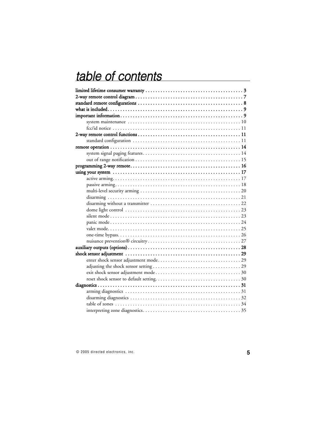# table of contents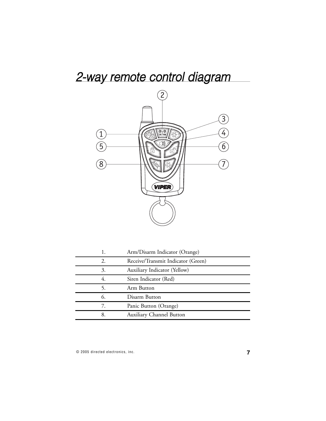# 2-way remote control diagram



|    | Arm/Disarm Indicator (Orange)      |
|----|------------------------------------|
| 2. | Receive/Transmit Indicator (Green) |
| 3. | Auxiliary Indicator (Yellow)       |
| 4. | Siren Indicator (Red)              |
| 5. | Arm Button                         |
| 6. | Disarm Button                      |
| 7. | Panic Button (Orange)              |
| 8  | Auxiliary Channel Button           |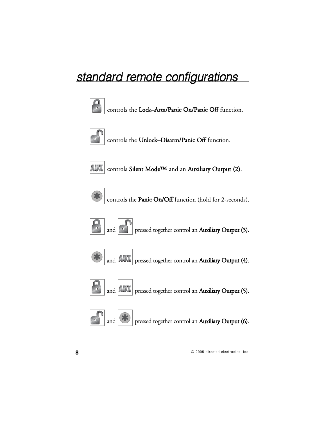# standard remote configurations



controls the Lock–Arm/Panic On/Panic Off function.



controls the Unlock–Disarm/Panic Off function.



 $\vert AUX \vert$  controls Silent Mode<sup>TM</sup> and an Auxiliary Output (2).



controls the Panic On/Off function (hold for 2-seconds).



and **pressed together control an Auxiliary Output (3)**.



and  $\vert$  AUX pressed together control an Auxiliary Output (4).



and  $|AM|$  pressed together control an Auxiliary Output (5).



and  $\left|\frac{\partial \mathbf{F}}{\partial \mathbf{F}}\right|$  pressed together control an Auxiliary Output (6).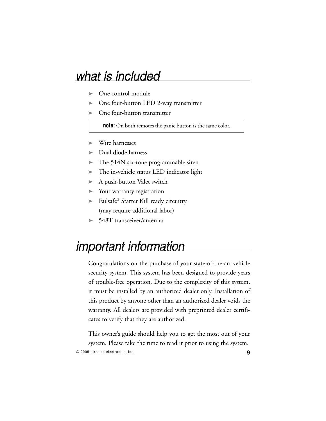# what is included

- ➤ One control module
- ➤ One four-button LED 2-way transmitter
- One four-button transmitter

**note:** On both remotes the panic button is the same color.

- ➤ Wire harnesses
- ➤ Dual diode harness
- ➤ The 514N six-tone programmable siren
- ➤ The in-vehicle status LED indicator light
- ➤ A push-button Valet switch
- ➤ Your warranty registration
- ➤ Failsafe® Starter Kill ready circuitry (may require additional labor)
- ➤ 548T transceiver/antenna

# important information

Congratulations on the purchase of your state-of-the-art vehicle security system. This system has been designed to provide years of trouble-free operation. Due to the complexity of this system, it must be installed by an authorized dealer only. Installation of this product by anyone other than an authorized dealer voids the warranty. All dealers are provided with preprinted dealer certificates to verify that they are authorized.

© 2005 directed electronics, inc. **9** This owner's guide should help you to get the most out of your system. Please take the time to read it prior to using the system.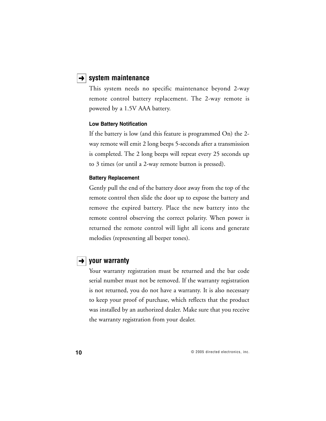### **→ system maintenance**

This system needs no specific maintenance beyond 2-way remote control battery replacement. The 2-way remote is powered by a 1.5V AAA battery.

#### **Low Battery Notification**

If the battery is low (and this feature is programmed On) the 2 way remote will emit 2 long beeps 5-seconds after a transmission is completed. The 2 long beeps will repeat every 25 seconds up to 3 times (or until a 2-way remote button is pressed).

#### **Battery Replacement**

Gently pull the end of the battery door away from the top of the remote control then slide the door up to expose the battery and remove the expired battery. Place the new battery into the remote control observing the correct polarity. When power is returned the remote control will light all icons and generate melodies (representing all beeper tones).

### **→ vour warranty**

Your warranty registration must be returned and the bar code serial number must not be removed. If the warranty registration is not returned, you do not have a warranty. It is also necessary to keep your proof of purchase, which reflects that the product was installed by an authorized dealer. Make sure that you receive the warranty registration from your dealer.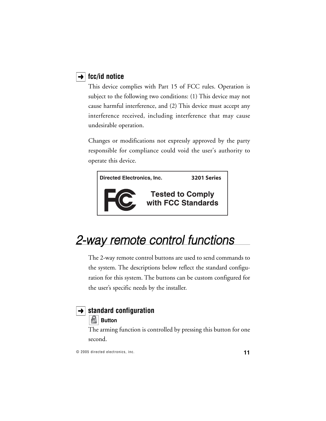## **→ fcc/id notice**

This device complies with Part 15 of FCC rules. Operation is subject to the following two conditions: (1) This device may not cause harmful interference, and (2) This device must accept any interference received, including interference that may cause undesirable operation.

Changes or modifications not expressly approved by the party responsible for compliance could void the user's authority to operate this device.



# 2-way remote control functions

The 2-way remote control buttons are used to send commands to the system. The descriptions below reflect the standard configuration for this system. The buttons can be custom configured for the user's specific needs by the installer.

# **→ standard configuration**

# **Button**

The arming function is controlled by pressing this button for one second.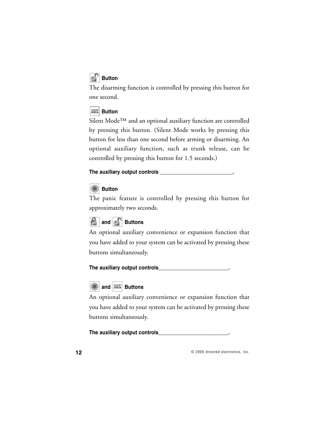# **Button**

The disarming function is controlled by pressing this button for one second.



Silent Mode™ and an optional auxiliary function are controlled by pressing this button. (Silent Mode works by pressing this button for less than one second before arming or disarming. An optional auxiliary function, such as trunk release, can be controlled by pressing this button for 1.5 seconds.)

### **The auxiliary output controls \_\_\_\_\_\_\_\_\_\_\_\_\_\_\_\_\_\_\_\_\_\_\_\_\_\_.**

# **Button**

The panic feature is controlled by pressing this button for approximately two seconds.



An optional auxiliary convenience or expansion function that you have added to your system can be activated by pressing these buttons simultaneously.

**The auxiliary output controls\_\_\_\_\_\_\_\_\_\_\_\_\_\_\_\_\_\_\_\_\_\_\_\_\_.**



An optional auxiliary convenience or expansion function that you have added to your system can be activated by pressing these buttons simultaneously.

**The auxiliary output controls\_\_\_\_\_\_\_\_\_\_\_\_\_\_\_\_\_\_\_\_\_\_\_\_\_.**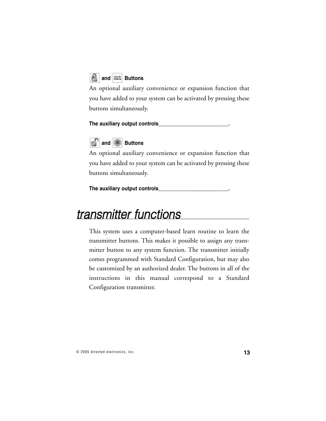

An optional auxiliary convenience or expansion function that you have added to your system can be activated by pressing these buttons simultaneously.

**The auxiliary output controls\_\_\_\_\_\_\_\_\_\_\_\_\_\_\_\_\_\_\_\_\_\_\_\_\_.**



An optional auxiliary convenience or expansion function that you have added to your system can be activated by pressing these buttons simultaneously.

**The auxiliary output controls\_\_\_\_\_\_\_\_\_\_\_\_\_\_\_\_\_\_\_\_\_\_\_\_\_.**

# transmitter functions

This system uses a computer-based learn routine to learn the transmitter buttons. This makes it possible to assign any transmitter button to any system function. The transmitter initially comes programmed with Standard Configuration, but may also be customized by an authorized dealer. The buttons in all of the instructions in this manual correspond to a Standard Configuration transmitter.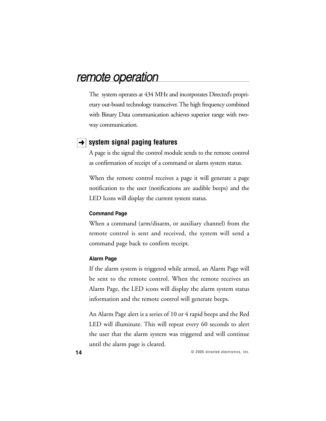# remote operation

The system operates at 434 MHz and incorporates Directed's proprietary out-board technology transceiver. The high frequency combined with Binary Data communication achieves superior range with twoway communication.

### **→ System signal paging features**

A page is the signal the control module sends to the remote control as confirmation of receipt of a command or alarm system status.

When the remote control receives a page it will generate a page notification to the user (notifications are audible beeps) and the LED Icons will display the current system status.

#### **Command Page**

When a command (arm/disarm, or auxiliary channel) from the remote control is sent and received, the system will send a command page back to confirm receipt.

#### **Alarm Page**

If the alarm system is triggered while armed, an Alarm Page will be sent to the remote control. When the remote receives an Alarm Page, the LED icons will display the alarm system status information and the remote control will generate beeps.

An Alarm Page alert is a series of 10 or 4 rapid beeps and the Red LED will illuminate. This will repeat every 60 seconds to alert the user that the alarm system was triggered and will continue until the alarm page is cleared.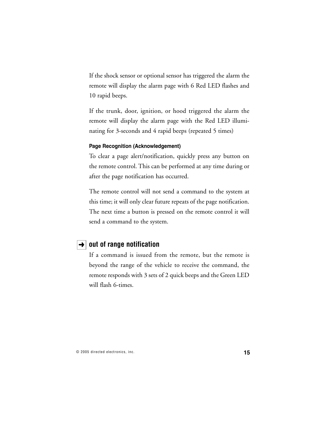If the shock sensor or optional sensor has triggered the alarm the remote will display the alarm page with 6 Red LED flashes and 10 rapid beeps.

If the trunk, door, ignition, or hood triggered the alarm the remote will display the alarm page with the Red LED illuminating for 3-seconds and 4 rapid beeps (repeated 5 times)

#### **Page Recognition (Acknowledgement)**

To clear a page alert/notification, quickly press any button on the remote control. This can be performed at any time during or after the page notification has occurred.

The remote control will not send a command to the system at this time; it will only clear future repeats of the page notification. The next time a button is pressed on the remote control it will send a command to the system.

### **→** out of range notification

If a command is issued from the remote, but the remote is beyond the range of the vehicle to receive the command, the remote responds with 3 sets of 2 quick beeps and the Green LED will flash 6-times.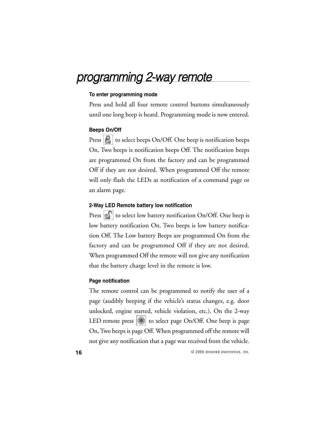# programming 2-way remote

#### **To enter programming mode**

Press and hold all four remote control buttons simultaneously until one long beep is heard. Programming mode is now entered.

#### **Beeps On/Off**

Press  $|\mathcal{L}|$  to select beeps On/Off. One beep is notification beeps On, Two beeps is notification beeps Off. The notification beeps are programmed On from the factory and can be programmed Off if they are not desired. When programmed Off the remote will only flash the LEDs as notification of a command page or an alarm page.

#### **2-Way LED Remote battery low notification**

Press  $\left|\epsilon\right|$  to select low battery notification On/Off. One beep is low battery notification On. Two beeps is low battery notification Off. The Low battery Beeps are programmed On from the factory and can be programmed Off if they are not desired. When programmed Off the remote will not give any notification that the battery charge level in the remote is low.

#### **Page notification**

The remote control can be programmed to notify the user of a page (audibly beeping if the vehicle's status changes, e.g. door unlocked, engine started, vehicle violation, etc.). On the 2-way LED remote press  $|\cdot\|$  to select page On/Off. One beep is page On, Two beeps is page Off. When programmed off the remote will not give any notification that a page was received from the vehicle.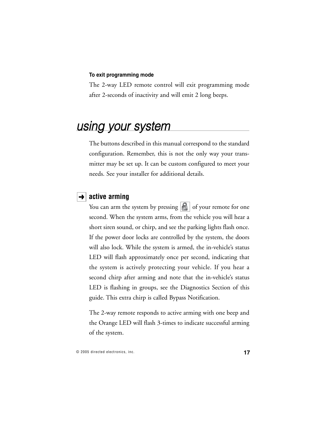#### **To exit programming mode**

The 2-way LED remote control will exit programming mode after 2-seconds of inactivity and will emit 2 long beeps.

# using your system

The buttons described in this manual correspond to the standard configuration. Remember, this is not the only way your transmitter may be set up. It can be custom configured to meet your needs. See your installer for additional details.

### $\rightarrow$  active arming

You can arm the system by pressing  $\left| \mathbf{G} \right|$  of your remote for one second. When the system arms, from the vehicle you will hear a short siren sound, or chirp, and see the parking lights flash once. If the power door locks are controlled by the system, the doors will also lock. While the system is armed, the in-vehicle's status LED will flash approximately once per second, indicating that the system is actively protecting your vehicle. If you hear a second chirp after arming and note that the in-vehicle's status LED is flashing in groups, see the Diagnostics Section of this guide. This extra chirp is called Bypass Notification.

The 2-way remote responds to active arming with one beep and the Orange LED will flash 3-times to indicate successful arming of the system.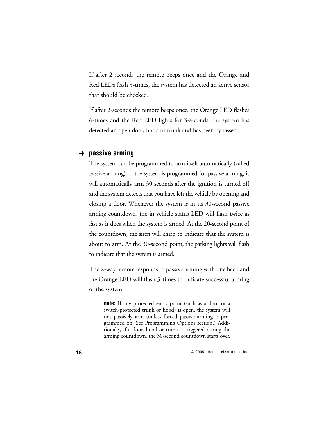If after 2-seconds the remote beeps once and the Orange and Red LEDs flash 3-times, the system has detected an active sensor that should be checked.

If after 2-seconds the remote beeps once, the Orange LED flashes 6-times and the Red LED lights for 3-seconds, the system has detected an open door, hood or trunk and has been bypassed.

### $\rightarrow$  passive arming

The system can be programmed to arm itself automatically (called passive arming). If the system is programmed for passive arming, it will automatically arm 30 seconds after the ignition is turned off and the system detects that you have left the vehicle by opening and closing a door. Whenever the system is in its 30-second passive arming countdown, the in-vehicle status LED will flash twice as fast as it does when the system is armed. At the 20-second point of the countdown, the siren will chirp to indicate that the system is about to arm. At the 30-second point, the parking lights will flash to indicate that the system is armed.

The 2-way remote responds to passive arming with one beep and the Orange LED will flash 3-times to indicate successful arming of the system.

**note:** If any protected entry point (such as a door or a switch-protected trunk or hood) is open, the system will not passively arm (unless forced passive arming is programmed on. See Programming Options section.) Additionally, if a door, hood or trunk is triggered during the arming countdown, the 30-second countdown starts over.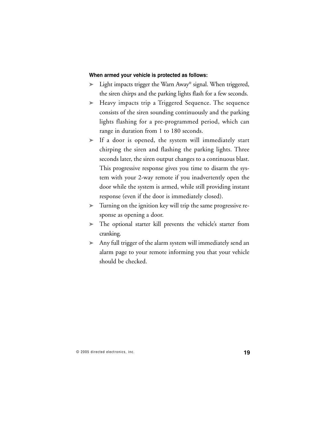#### **When armed your vehicle is protected as follows:**

- ➤ Light impacts trigger the Warn Away® signal. When triggered, the siren chirps and the parking lights flash for a few seconds.
- ➤ Heavy impacts trip a Triggered Sequence. The sequence consists of the siren sounding continuously and the parking lights flashing for a pre-programmed period, which can range in duration from 1 to 180 seconds.
- ➤ If a door is opened, the system will immediately start chirping the siren and flashing the parking lights. Three seconds later, the siren output changes to a continuous blast. This progressive response gives you time to disarm the system with your 2-way remote if you inadvertently open the door while the system is armed, while still providing instant response (even if the door is immediately closed).
- ➤ Turning on the ignition key will trip the same progressive response as opening a door.
- ➤ The optional starter kill prevents the vehicle's starter from cranking.
- ➤ Any full trigger of the alarm system will immediately send an alarm page to your remote informing you that your vehicle should be checked.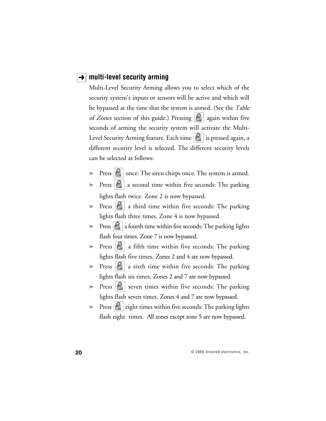### **→ | multi-level security arming**

Multi-Level Security Arming allows you to select which of the security system's inputs or sensors will be active and which will be bypassed at the time that the system is armed. (See the Table of Zones section of this guide.) Pressing  $\left| \mathbf{f} \right|$  again within five seconds of arming the security system will activate the Multi-Level Security Arming feature. Each time  $\|\cdot\|$  is pressed again, a different security level is selected. The different security levels can be selected as follows:

- Press  $|\cdot|$  once: The siren chirps once. The system is armed.
- Press  $\left| \mathbf{B} \right|$  a second time within five seconds: The parking lights flash twice. Zone 2 is now bypassed.
- Press  $\|\cdot\|$  a third time within five seconds: The parking lights flash three times. Zone 4 is now bypassed.
- $\triangleright$  Press  $\lfloor \cdot \rfloor$  a fourth time within five seconds: The parking lights flash four times. Zone 7 is now bypassed.
- $\triangleright$  Press  $\begin{array}{|c|c|}$  a fifth time within five seconds: The parking lights flash five times. Zones 2 and 4 are now bypassed.
- $\triangleright$  Press  $\lfloor \cdot \rfloor$  a sixth time within five seconds: The parking lights flash six times. Zones 2 and 7 are now bypassed.
- $\triangleright$  Press  $\lvert \cdot \rvert$  seven times within five seconds: The parking lights flash seven times. Zones 4 and 7 are now bypassed.
- $\triangleright$  Press  $\triangleright$  eight times within five seconds: The parking lights flash eight times. All zones except zone 5 are now bypassed.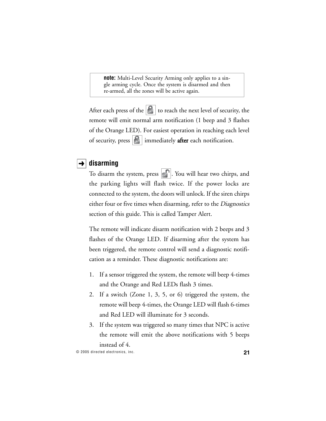**note:** Multi-Level Security Arming only applies to a single arming cycle. Once the system is disarmed and then re-armed, all the zones will be active again.

After each press of the  $\|\cdot\|$  to reach the next level of security, the remote will emit normal arm notification (1 beep and 3 flashes of the Orange LED). For easiest operation in reaching each level of security, press  $\left|\frac{\mathcal{G}}{\mathcal{G}}\right|$  immediately **after** each notification.

### $\rightarrow$  disarming

To disarm the system, press  $\left| \cdot \right|$ . You will hear two chirps, and the parking lights will flash twice. If the power locks are connected to the system, the doors will unlock. If the siren chirps either four or five times when disarming, refer to the Diagnostics section of this guide. This is called Tamper Alert.

The remote will indicate disarm notification with 2 beeps and 3 flashes of the Orange LED. If disarming after the system has been triggered, the remote control will send a diagnostic notification as a reminder. These diagnostic notifications are:

- 1. If a sensor triggered the system, the remote will beep 4-times and the Orange and Red LEDs flash 3 times.
- 2. If a switch (Zone 1, 3, 5, or 6) triggered the system, the remote will beep 4-times, the Orange LED will flash 6-times and Red LED will illuminate for 3 seconds.
- 3. If the system was triggered so many times that NPC is active the remote will emit the above notifications with 5 beeps instead of 4.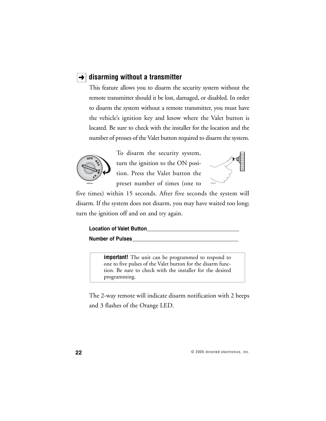### **→ disarming without a transmitter**

This feature allows you to disarm the security system without the remote transmitter should it be lost, damaged, or disabled. In order to disarm the system without a remote transmitter, you must have the vehicle's ignition key and know where the Valet button is located. Be sure to check with the installer for the location and the number of presses of the Valet button required to disarm the system.



To disarm the security system, turn the ignition to the ON position. Press the Valet button the preset number of times (one to



five times) within 15 seconds. After five seconds the system will disarm. If the system does not disarm, you may have waited too long; turn the ignition off and on and try again.

| <b>Location of Valet Button</b> |  |
|---------------------------------|--|
| <b>Number of Pulses</b>         |  |

**important!** The unit can be programmed to respond to one to five pulses of the Valet button for the disarm function. Be sure to check with the installer for the desired programming.

The 2-way remote will indicate disarm notification with 2 beeps and 3 flashes of the Orange LED.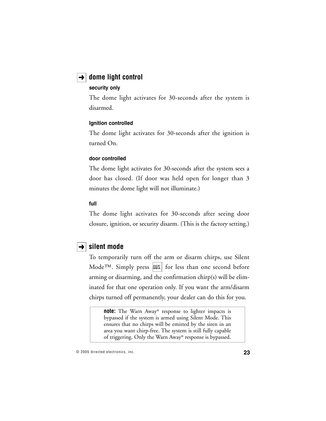### $\rightarrow$  dome light control

#### **security only**

The dome light activates for 30-seconds after the system is disarmed.

#### **Ignition controlled**

The dome light activates for 30-seconds after the ignition is turned On.

#### **door controlled**

The dome light activates for 30-seconds after the system sees a door has closed. (If door was held open for longer than 3 minutes the dome light will not illuminate.)

#### **full**

The dome light activates for 30-seconds after seeing door closure, ignition, or security disarm. (This is the factory setting.)

## $\rightarrow$  silent mode

To temporarily turn off the arm or disarm chirps, use Silent Mode<sup>TM</sup>. Simply press  $|AUX|$  for less than one second before arming or disarming, and the confirmation chirp(s) will be eliminated for that one operation only. If you want the arm/disarm chirps turned off permanently, your dealer can do this for you.

**note:** The Warn Away® response to lighter impacts is bypassed if the system is armed using Silent Mode. This ensures that no chirps will be emitted by the siren in an area you want chirp-free. The system is still fully capable of triggering. Only the Warn Away® response is bypassed.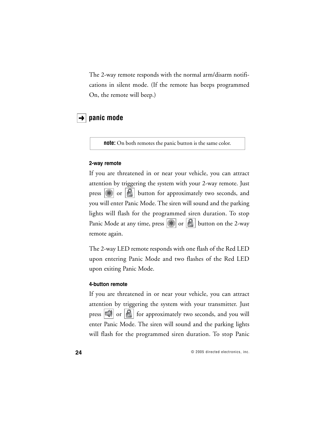The 2-way remote responds with the normal arm/disarm notifications in silent mode. (If the remote has beeps programmed On, the remote will beep.)

### $\rightarrow$  panic mode

**note:** On both remotes the panic button is the same color.

#### **2-way remote**

If you are threatened in or near your vehicle, you can attract attention by triggering the system with your 2-way remote. Just press  $\left|\mathbf{F}\right|$  or  $\left|\mathbf{F}\right|$  button for approximately two seconds, and you will enter Panic Mode. The siren will sound and the parking lights will flash for the programmed siren duration. To stop Panic Mode at any time, press  $\left|\mathbf{\hat{x}}\right|$  or  $\left|\mathbf{\hat{b}}\right|$  button on the 2-way remote again.

The 2-way LED remote responds with one flash of the Red LED upon entering Panic Mode and two flashes of the Red LED upon exiting Panic Mode.

#### **4-button remote**

If you are threatened in or near your vehicle, you can attract attention by triggering the system with your transmitter. Just press  $\left|\mathcal{L}\right|$  or  $\left|\mathcal{L}\right|$  for approximately two seconds, and you will enter Panic Mode. The siren will sound and the parking lights will flash for the programmed siren duration. To stop Panic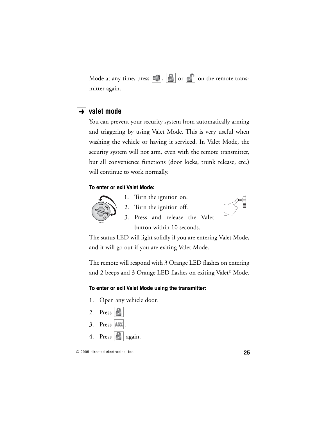Mode at any time, press  $||\cdot||$ ,  $||\cdot||$  or  $||\cdot||$  on the remote transmitter again.

## $\rightarrow$  valet mode

You can prevent your security system from automatically arming and triggering by using Valet Mode. This is very useful when washing the vehicle or having it serviced. In Valet Mode, the security system will not arm, even with the remote transmitter, but all convenience functions (door locks, trunk release, etc.) will continue to work normally.

### **To enter or exit Valet Mode:**



1. Turn the ignition on. 2. Turn the ignition off.



3. Press and release the Valet button within 10 seconds.

The status LED will light solidly if you are entering Valet Mode, and it will go out if you are exiting Valet Mode.

The remote will respond with 3 Orange LED flashes on entering and 2 beeps and 3 Orange LED flashes on exiting Valet® Mode.

#### **To enter or exit Valet Mode using the transmitter:**

- 1. Open any vehicle door.
- 2. Press  $\vert \cdot \vert$ 3. Press **AUX** 4. Press again.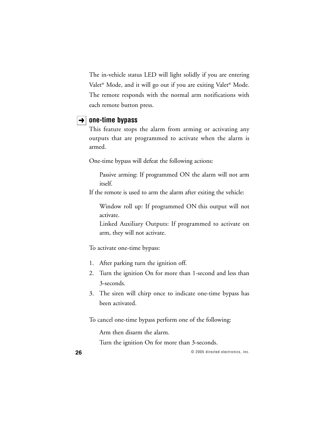The in-vehicle status LED will light solidly if you are entering Valet® Mode, and it will go out if you are exiting Valet® Mode. The remote responds with the normal arm notifications with each remote button press.

### $\rightarrow$  | one-time bypass

This feature stops the alarm from arming or activating any outputs that are programmed to activate when the alarm is armed.

One-time bypass will defeat the following actions:

Passive arming: If programmed ON the alarm will not arm itself.

If the remote is used to arm the alarm after exiting the vehicle:

Window roll up: If programmed ON this output will not activate.

Linked Auxiliary Outputs: If programmed to activate on arm, they will not activate.

To activate one-time bypass:

- 1. After parking turn the ignition off.
- 2. Turn the ignition On for more than 1-second and less than 3-seconds.
- 3. The siren will chirp once to indicate one-time bypass has been activated.

To cancel one-time bypass perform one of the following:

Arm then disarm the alarm.

Turn the ignition On for more than 3-seconds.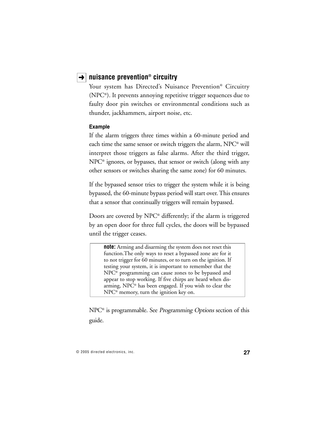### **nuisance prevention® circuitry** ➜

Your system has Directed's Nuisance Prevention® Circuitry (NPC®). It prevents annoying repetitive trigger sequences due to faulty door pin switches or environmental conditions such as thunder, jackhammers, airport noise, etc.

#### **Example**

If the alarm triggers three times within a 60-minute period and each time the same sensor or switch triggers the alarm, NPC® will interpret those triggers as false alarms. After the third trigger, NPC® ignores, or bypasses, that sensor or switch (along with any other sensors or switches sharing the same zone) for 60 minutes.

If the bypassed sensor tries to trigger the system while it is being bypassed, the 60-minute bypass period will start over. This ensures that a sensor that continually triggers will remain bypassed.

Doors are covered by NPC® differently; if the alarm is triggered by an open door for three full cycles, the doors will be bypassed until the trigger ceases.

**note:** Arming and disarming the system does not reset this function.The only ways to reset a bypassed zone are for it to not trigger for 60 minutes, or to turn on the ignition. If testing your system, it is important to remember that the NPC® programming can cause zones to be bypassed and appear to stop working. If five chirps are heard when disarming, NPC® has been engaged. If you wish to clear the NPC® memory, turn the ignition key on.

NPC<sup>®</sup> is programmable. See *Programming Options* section of this guide.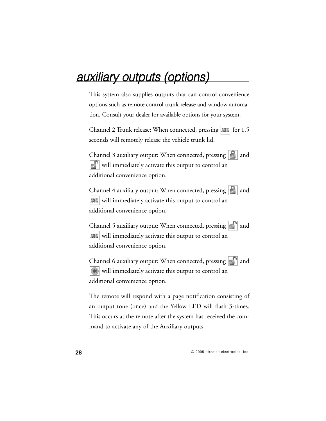# auxiliary outputs (options)

This system also supplies outputs that can control convenience options such as remote control trunk release and window automation. Consult your dealer for available options for your system.

Channel 2 Trunk release: When connected, pressing | AUX | for 1.5 seconds will remotely release the vehicle trunk lid.

Channel 3 auxiliary output: When connected, pressing  $|\mathbf{B}|$  and **R** will immediately activate this output to control an additional convenience option.

Channel 4 auxiliary output: When connected, pressing  $\left|\mathbf{B}\right|$  and AUX will immediately activate this output to control an additional convenience option.

Channel 5 auxiliary output: When connected, pressing  $\left|\cdot\right|^{\ }$  and will immediately activate this output to control an additional convenience option.

Channel 6 auxiliary output: When connected, pressing  $\lVert \cdot \rVert$  and  $\left( \ast \right)$ will immediately activate this output to control an additional convenience option.

The remote will respond with a page notification consisting of an output tone (once) and the Yellow LED will flash 3-times. This occurs at the remote after the system has received the command to activate any of the Auxiliary outputs.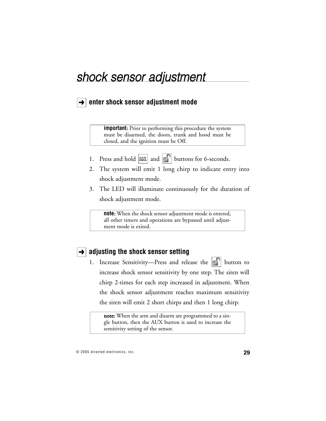# shock sensor adjustment

# **→ enter shock sensor adjustment mode**

**important**: Prior to performing this procedure the system must be disarmed, the doors, trunk and hood must be closed, and the ignition must be Off.

- 1. Press and hold  $\boxed{AW}$  and  $\boxed{c}$  buttons for 6-seconds.
- 2. The system will emit 1 long chirp to indicate entry into shock adjustment mode.
- 3. The LED will illuminate continuously for the duration of shock adjustment mode.

**note**: When the shock sensor adjustment mode is entered, all other timers and operations are bypassed until adjustment mode is exited.

## **→ adjusting the shock sensor setting**

1. Increase Sensitivity-Press and release the  $\left| \cdot \right|$  button to increase shock sensor sensitivity by one step. The siren will chirp 2-times for each step increased in adjustment. When the shock sensor adjustment reaches maximum sensitivity the siren will emit 2 short chirps and then 1 long chirp.

note: When the arm and disarm are programmed to a single button, then the AUX button is used to increase the sensitivity setting of the sensor.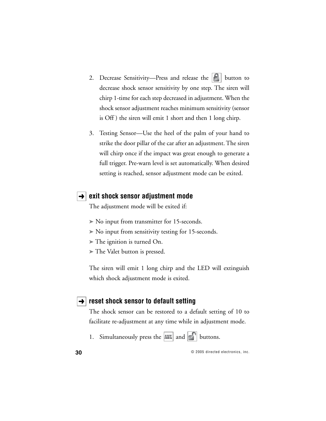- 2. Decrease Sensitivity—Press and release the  $\left| \boldsymbol{\epsilon} \right|$  button to decrease shock sensor sensitivity by one step. The siren will chirp 1-time for each step decreased in adjustment. When the shock sensor adjustment reaches minimum sensitivity (sensor is Off ) the siren will emit 1 short and then 1 long chirp.
- 3. Testing Sensor—Use the heel of the palm of your hand to strike the door pillar of the car after an adjustment. The siren will chirp once if the impact was great enough to generate a full trigger. Pre-warn level is set automatically. When desired setting is reached, sensor adjustment mode can be exited.

### **→ exit shock sensor adjustment mode**

The adjustment mode will be exited if:

- ➤ No input from transmitter for 15-seconds.
- ➤ No input from sensitivity testing for 15-seconds.
- ➤ The ignition is turned On.
- ➤ The Valet button is pressed.

The siren will emit 1 long chirp and the LED will extinguish which shock adjustment mode is exited.

### **→ reset shock sensor to default setting**

The shock sensor can be restored to a default setting of 10 to facilitate re-adjustment at any time while in adjustment mode.

1. Simultaneously press the  $|\text{aux}|$  and  $|\cdot|$  buttons.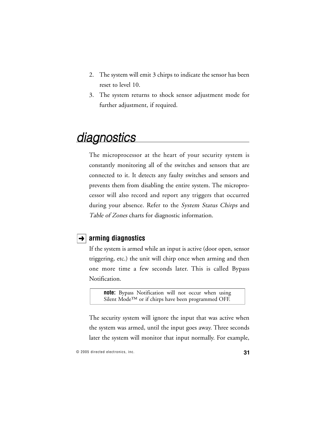- 2. The system will emit 3 chirps to indicate the sensor has been reset to level 10.
- 3. The system returns to shock sensor adjustment mode for further adjustment, if required.

# **diagnostics**

The microprocessor at the heart of your security system is constantly monitoring all of the switches and sensors that are connected to it. It detects any faulty switches and sensors and prevents them from disabling the entire system. The microprocessor will also record and report any triggers that occurred during your absence. Refer to the *System Status Chirps* and Table of Zones charts for diagnostic information.

## **arming diagnostics** ➜

If the system is armed while an input is active (door open, sensor triggering, etc.) the unit will chirp once when arming and then one more time a few seconds later. This is called Bypass Notification.

**note:** Bypass Notification will not occur when using Silent Mode™ or if chirps have been programmed OFF.

The security system will ignore the input that was active when the system was armed, until the input goes away. Three seconds later the system will monitor that input normally. For example,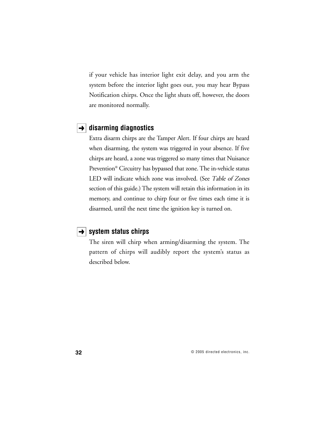if your vehicle has interior light exit delay, and you arm the system before the interior light goes out, you may hear Bypass Notification chirps. Once the light shuts off, however, the doors are monitored normally.

### **disarming diagnostics** ➜

Extra disarm chirps are the Tamper Alert. If four chirps are heard when disarming, the system was triggered in your absence. If five chirps are heard, a zone was triggered so many times that Nuisance Prevention® Circuitry has bypassed that zone. The in-vehicle status LED will indicate which zone was involved. (See Table of Zones section of this guide.) The system will retain this information in its memory, and continue to chirp four or five times each time it is disarmed, until the next time the ignition key is turned on.

### **→ System status chirps**

The siren will chirp when arming/disarming the system. The pattern of chirps will audibly report the system's status as described below.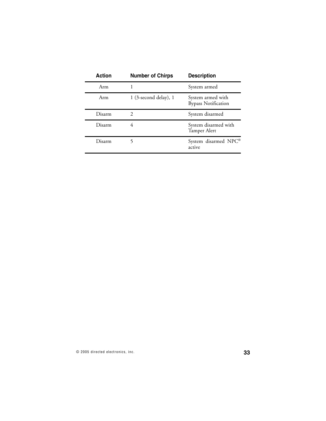| <b>Action</b> | <b>Number of Chirps</b>   | <b>Description</b>                              |  |
|---------------|---------------------------|-------------------------------------------------|--|
| Arm           |                           | System armed                                    |  |
| Arm           | $1$ (3-second delay), $1$ | System armed with<br><b>Bypass Notification</b> |  |
| Disarm        |                           | System disarmed                                 |  |
| Disarm        |                           | System disarmed with<br>Tamper Alert            |  |
| Disarm        |                           | System disarmed NPC®<br>active                  |  |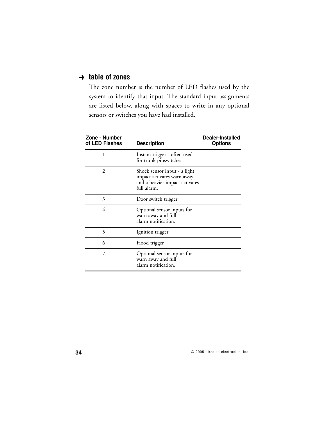### **table of zones** ➜

The zone number is the number of LED flashes used by the system to identify that input. The standard input assignments are listed below, along with spaces to write in any optional sensors or switches you have had installed.

| Zone - Number<br>of LED Flashes | <b>Description</b>                                                                                          | Dealer-Installed<br><b>Options</b> |
|---------------------------------|-------------------------------------------------------------------------------------------------------------|------------------------------------|
| 1                               | Instant trigger - often used<br>for trunk pinswitches                                                       |                                    |
| $\mathcal{D}_{\mathcal{L}}$     | Shock sensor input - a light<br>impact activates warn away<br>and a heavier impact activates<br>full alarm. |                                    |
| 3                               | Door switch trigger                                                                                         |                                    |
| 4                               | Optional sensor inputs for<br>warn away and full<br>alarm notification.                                     |                                    |
| 5                               | Ignition trigger                                                                                            |                                    |
| 6                               | Hood trigger                                                                                                |                                    |
| 7                               | Optional sensor inputs for<br>warn away and full<br>alarm notification.                                     |                                    |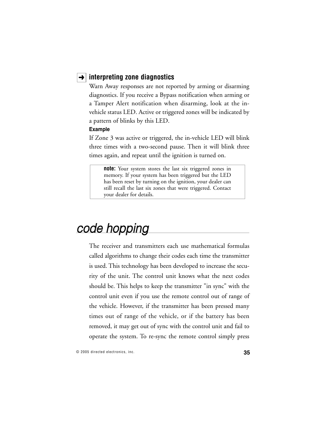## **→ interpreting zone diagnostics**

Warn Away responses are not reported by arming or disarming diagnostics. If you receive a Bypass notification when arming or a Tamper Alert notification when disarming, look at the invehicle status LED. Active or triggered zones will be indicated by a pattern of blinks by this LED.

#### **Example**

If Zone 3 was active or triggered, the in-vehicle LED will blink three times with a two-second pause. Then it will blink three times again, and repeat until the ignition is turned on.

**note:** Your system stores the last six triggered zones in memory. If your system has been triggered but the LED has been reset by turning on the ignition, your dealer can still recall the last six zones that were triggered. Contact your dealer for details.

# code hopping

The receiver and transmitters each use mathematical formulas called algorithms to change their codes each time the transmitter is used. This technology has been developed to increase the security of the unit. The control unit knows what the next codes should be. This helps to keep the transmitter "in sync" with the control unit even if you use the remote control out of range of the vehicle. However, if the transmitter has been pressed many times out of range of the vehicle, or if the battery has been removed, it may get out of sync with the control unit and fail to operate the system. To re-sync the remote control simply press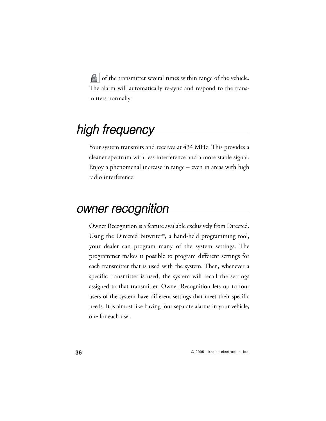**8** of the transmitter several times within range of the vehicle. The alarm will automatically re-sync and respond to the transmitters normally.

# high frequency

Your system transmits and receives at 434 MHz. This provides a cleaner spectrum with less interference and a more stable signal. Enjoy a phenomenal increase in range – even in areas with high radio interference.

# owner recognition

Owner Recognition is a feature available exclusively from Directed. Using the Directed Bitwriter®, a hand-held programming tool, your dealer can program many of the system settings. The programmer makes it possible to program different settings for each transmitter that is used with the system. Then, whenever a specific transmitter is used, the system will recall the settings assigned to that transmitter. Owner Recognition lets up to four users of the system have different settings that meet their specific needs. It is almost like having four separate alarms in your vehicle, one for each user.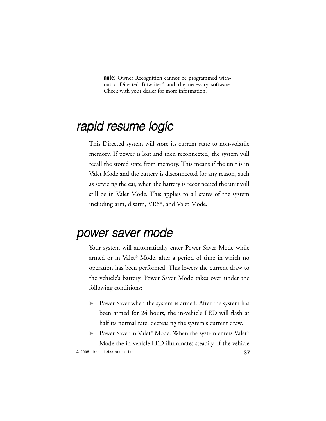**note:** Owner Recognition cannot be programmed without a Directed Bitwriter® and the necessary software. Check with your dealer for more information.

# rapid resume logic

This Directed system will store its current state to non-volatile memory. If power is lost and then reconnected, the system will recall the stored state from memory. This means if the unit is in Valet Mode and the battery is disconnected for any reason, such as servicing the car, when the battery is reconnected the unit will still be in Valet Mode. This applies to all states of the system including arm, disarm, VRS®, and Valet Mode.

# power saver mode

Your system will automatically enter Power Saver Mode while armed or in Valet® Mode, after a period of time in which no operation has been performed. This lowers the current draw to the vehicle's battery. Power Saver Mode takes over under the following conditions:

➤ Power Saver when the system is armed: After the system has been armed for 24 hours, the in-vehicle LED will flash at half its normal rate, decreasing the system's current draw.

© 2005 directed electronics, inc. **37** ► Power Saver in Valet® Mode: When the system enters Valet® Mode the in-vehicle LED illuminates steadily. If the vehicle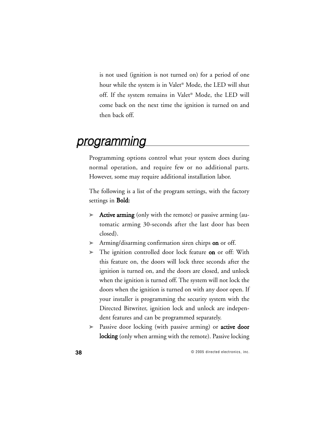is not used (ignition is not turned on) for a period of one hour while the system is in Valet® Mode, the LED will shut off. If the system remains in Valet® Mode, the LED will come back on the next time the ignition is turned on and then back off.

# programming

Programming options control what your system does during normal operation, and require few or no additional parts. However, some may require additional installation labor.

The following is a list of the program settings, with the factory settings in **Bold**:

- ➤ Active arming (only with the remote) or passive arming (automatic arming 30-seconds after the last door has been closed).
- ► Arming/disarming confirmation siren chirps on or off.
- ► The ignition controlled door lock feature on or off: With this feature on, the doors will lock three seconds after the ignition is turned on, and the doors are closed, and unlock when the ignition is turned off. The system will not lock the doors when the ignition is turned on with any door open. If your installer is programming the security system with the Directed Bitwriter, ignition lock and unlock are independent features and can be programmed separately.
- ► Passive door locking (with passive arming) or **active door** locking (only when arming with the remote). Passive locking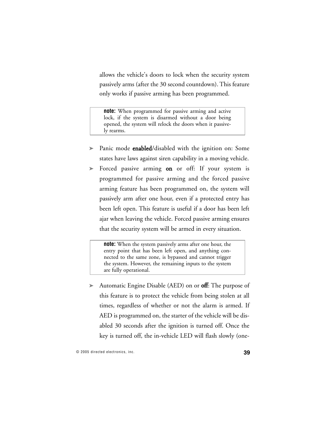allows the vehicle's doors to lock when the security system passively arms (after the 30 second countdown). This feature only works if passive arming has been programmed.

**note:** When programmed for passive arming and active lock, if the system is disarmed without a door being opened, the system will relock the doors when it passively rearms.

- ► Panic mode enabled/disabled with the ignition on: Some states have laws against siren capability in a moving vehicle.
- ► Forced passive arming on or off: If your system is programmed for passive arming and the forced passive arming feature has been programmed on, the system will passively arm after one hour, even if a protected entry has been left open. This feature is useful if a door has been left ajar when leaving the vehicle. Forced passive arming ensures that the security system will be armed in every situation.

**note:** When the system passively arms after one hour, the entry point that has been left open, and anything connected to the same zone, is bypassed and cannot trigger the system. However, the remaining inputs to the system are fully operational.

► Automatic Engine Disable (AED) on or off: The purpose of this feature is to protect the vehicle from being stolen at all times, regardless of whether or not the alarm is armed. If AED is programmed on, the starter of the vehicle will be disabled 30 seconds after the ignition is turned off. Once the key is turned off, the in-vehicle LED will flash slowly (one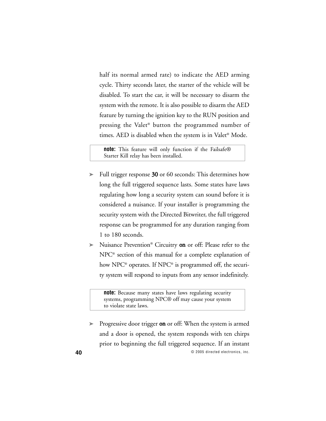half its normal armed rate) to indicate the AED arming cycle. Thirty seconds later, the starter of the vehicle will be disabled. To start the car, it will be necessary to disarm the system with the remote. It is also possible to disarm the AED feature by turning the ignition key to the RUN position and pressing the Valet® button the programmed number of times. AED is disabled when the system is in Valet® Mode.

**note:** This feature will only function if the Failsafe® Starter Kill relay has been installed.

- ➤ Full trigger response 30 or 60 seconds: This determines how long the full triggered sequence lasts. Some states have laws regulating how long a security system can sound before it is considered a nuisance. If your installer is programming the security system with the Directed Bitwriter, the full triggered response can be programmed for any duration ranging from 1 to 180 seconds.
- ➤ Nuisance Prevention® Circuitry on or off: Please refer to the NPC® section of this manual for a complete explanation of how NPC® operates. If NPC® is programmed off, the security system will respond to inputs from any sensor indefinitely.

**note:** Because many states have laws regulating security systems, programming NPC® off may cause your system to violate state laws.

**40** © 2005 directed electronics, inc. ► Progressive door trigger on or off: When the system is armed and a door is opened, the system responds with ten chirps prior to beginning the full triggered sequence. If an instant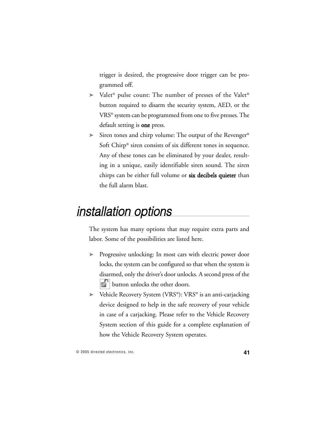trigger is desired, the progressive door trigger can be programmed off.

- ➤ Valet® pulse count: The number of presses of the Valet® button required to disarm the security system, AED, or the VRS® system can be programmed from one to five presses. The default setting is one press.
- ► Siren tones and chirp volume: The output of the Revenger<sup>®</sup> Soft Chirp® siren consists of six different tones in sequence. Any of these tones can be eliminated by your dealer, resulting in a unique, easily identifiable siren sound. The siren chirps can be either full volume or six decibels quieter than the full alarm blast.

# installation options

The system has many options that may require extra parts and labor. Some of the possibilities are listed here.

- ➤ Progressive unlocking: In most cars with electric power door locks, the system can be configured so that when the system is disarmed, only the driver's door unlocks. A second press of the **button unlocks the other doors.**
- ➤ Vehicle Recovery System (VRS®): VRS® is an anti-carjacking device designed to help in the safe recovery of your vehicle in case of a carjacking. Please refer to the Vehicle Recovery System section of this guide for a complete explanation of how the Vehicle Recovery System operates.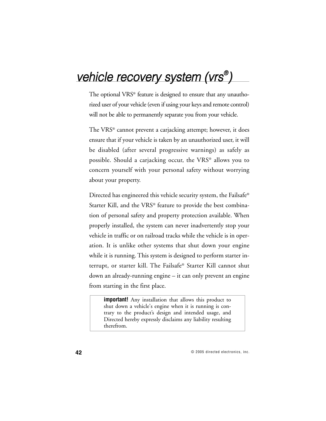# vehicle recovery system (vrs®)

The optional VRS® feature is designed to ensure that any unauthorized user of your vehicle (even if using your keys and remote control) will not be able to permanently separate you from your vehicle.

The VRS® cannot prevent a carjacking attempt; however, it does ensure that if your vehicle is taken by an unauthorized user, it will be disabled (after several progressive warnings) as safely as possible. Should a carjacking occur, the VRS® allows you to concern yourself with your personal safety without worrying about your property.

Directed has engineered this vehicle security system, the Failsafe® Starter Kill, and the VRS® feature to provide the best combination of personal safety and property protection available. When properly installed, the system can never inadvertently stop your vehicle in traffic or on railroad tracks while the vehicle is in operation. It is unlike other systems that shut down your engine while it is running. This system is designed to perform starter interrupt, or starter kill. The Failsafe® Starter Kill cannot shut down an already-running engine – it can only prevent an engine from starting in the first place.

**important!** Any installation that allows this product to shut down a vehicle's engine when it is running is contrary to the product's design and intended usage, and Directed hereby expressly disclaims any liability resulting therefrom.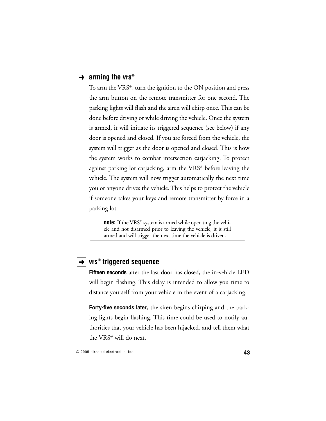### **→ arming the vrs®**

To arm the VRS®, turn the ignition to the ON position and press the arm button on the remote transmitter for one second. The parking lights will flash and the siren will chirp once. This can be done before driving or while driving the vehicle. Once the system is armed, it will initiate its triggered sequence (see below) if any door is opened and closed. If you are forced from the vehicle, the system will trigger as the door is opened and closed. This is how the system works to combat intersection carjacking. To protect against parking lot carjacking, arm the VRS® before leaving the vehicle. The system will now trigger automatically the next time you or anyone drives the vehicle. This helps to protect the vehicle if someone takes your keys and remote transmitter by force in a parking lot.

**note:** If the VRS<sup>®</sup> system is armed while operating the vehicle and not disarmed prior to leaving the vehicle, it is still armed and will trigger the next time the vehicle is driven.

### **vrs® triggered sequence** ➜

**Fifteen seconds** after the last door has closed, the in-vehicle LED will begin flashing. This delay is intended to allow you time to distance yourself from your vehicle in the event of a carjacking.

**Forty-five seconds later**, the siren begins chirping and the parking lights begin flashing. This time could be used to notify authorities that your vehicle has been hijacked, and tell them what the VRS® will do next.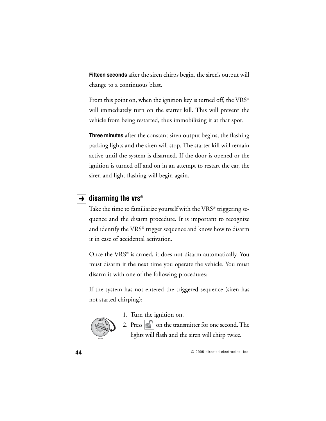**Fifteen seconds** after the siren chirps begin, the siren's output will change to a continuous blast.

From this point on, when the ignition key is turned off, the  $VRS^{\circledast}$ will immediately turn on the starter kill. This will prevent the vehicle from being restarted, thus immobilizing it at that spot.

**Three minutes** after the constant siren output begins, the flashing parking lights and the siren will stop. The starter kill will remain active until the system is disarmed. If the door is opened or the ignition is turned off and on in an attempt to restart the car, the siren and light flashing will begin again.

## $\rightarrow$  **disarming the vrs®**

Take the time to familiarize yourself with the VRS® triggering sequence and the disarm procedure. It is important to recognize and identify the VRS® trigger sequence and know how to disarm it in case of accidental activation.

Once the VRS® is armed, it does not disarm automatically. You must disarm it the next time you operate the vehicle. You must disarm it with one of the following procedures:

If the system has not entered the triggered sequence (siren has not started chirping):



1. Turn the ignition on.

2. Press  $\left| \cdot \right|$  on the transmitter for one second. The lights will flash and the siren will chirp twice.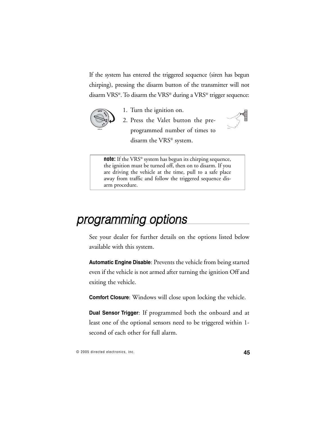If the system has entered the triggered sequence (siren has begun chirping), pressing the disarm button of the transmitter will not disarm VRS®. To disarm the VRS® during a VRS® trigger sequence:

2. Press the Valet button the pre-

programmed number of times to



- 1. Turn the ignition on.
- 

**note:** If the VRS® system has begun its chirping sequence, the ignition must be turned off, then on to disarm. If you are driving the vehicle at the time, pull to a safe place away from traffic and follow the triggered sequence disarm procedure.

disarm the VRS® system.

# programming options

See your dealer for further details on the options listed below available with this system.

**Automatic Engine Disable**: Prevents the vehicle from being started even if the vehicle is not armed after turning the ignition Off and exiting the vehicle.

**Comfort Closure**: Windows will close upon locking the vehicle.

**Dual Sensor Trigger**: If programmed both the onboard and at least one of the optional sensors need to be triggered within 1 second of each other for full alarm.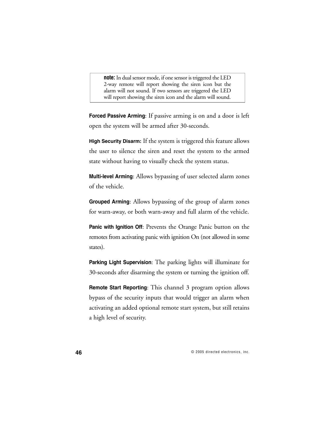**note:** In dual sensor mode, if one sensor is triggered the LED 2-way remote will report showing the siren icon but the alarm will not sound. If two sensors are triggered the LED will report showing the siren icon and the alarm will sound.

**Forced Passive Arming**: If passive arming is on and a door is left open the system will be armed after 30-seconds.

**High Security Disarm:** If the system is triggered this feature allows the user to silence the siren and reset the system to the armed state without having to visually check the system status.

**Multi-level Arming**: Allows bypassing of user selected alarm zones of the vehicle.

**Grouped Arming**: Allows bypassing of the group of alarm zones for warn-away, or both warn-away and full alarm of the vehicle.

**Panic with Ignition Off:** Prevents the Orange Panic button on the remotes from activating panic with ignition On (not allowed in some states).

**Parking Light Supervision**: The parking lights will illuminate for 30-seconds after disarming the system or turning the ignition off.

**Remote Start Reporting**: This channel 3 program option allows bypass of the security inputs that would trigger an alarm when activating an added optional remote start system, but still retains a high level of security.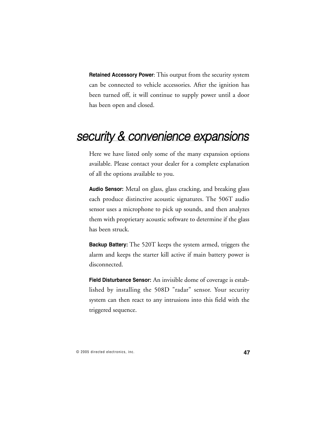**Retained Accessory Power**: This output from the security system can be connected to vehicle accessories. After the ignition has been turned off, it will continue to supply power until a door has been open and closed.

# security & convenience expansions

Here we have listed only some of the many expansion options available. Please contact your dealer for a complete explanation of all the options available to you.

**Audio Sensor:** Metal on glass, glass cracking, and breaking glass each produce distinctive acoustic signatures. The 506T audio sensor uses a microphone to pick up sounds, and then analyzes them with proprietary acoustic software to determine if the glass has been struck.

**Backup Battery:** The 520T keeps the system armed, triggers the alarm and keeps the starter kill active if main battery power is disconnected.

**Field Disturbance Sensor:** An invisible dome of coverage is established by installing the 508D "radar" sensor. Your security system can then react to any intrusions into this field with the triggered sequence.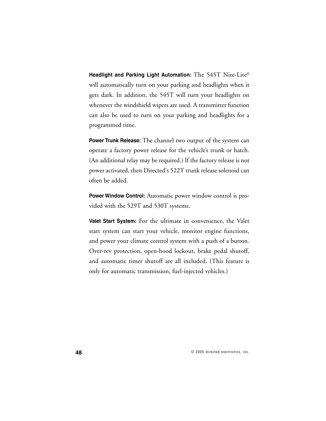**Headlight and Parking Light Automation:** The 545T Nite-Lite® will automatically turn on your parking and headlights when it gets dark. In addition, the 545T will turn your headlights on whenever the windshield wipers are used. A transmitter function can also be used to turn on your parking and headlights for a programmed time.

**Power Trunk Release:** The channel two output of the system can operate a factory power release for the vehicle's trunk or hatch. (An additional relay may be required.) If the factory release is not power activated, then Directed's 522T trunk release solenoid can often be added.

**Power Window Control:** Automatic power window control is provided with the 529T and 530T systems.

**Valet Start System:** For the ultimate in convenience, the Valet start system can start your vehicle, monitor engine functions, and power your climate control system with a push of a button. Over-rev protection, open-hood lockout, brake pedal shutoff, and automatic timer shutoff are all included. (This feature is only for automatic transmission, fuel-injected vehicles.)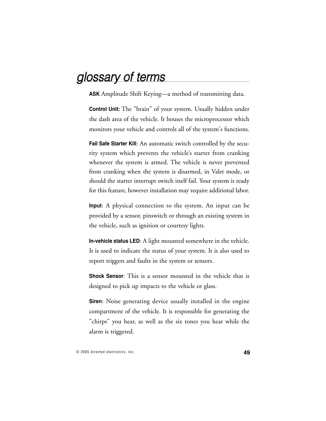# glossary of terms

**ASK** Amplitude Shift Keying—a method of transmitting data.

**Control Unit:** The "brain" of your system. Usually hidden under the dash area of the vehicle. It houses the microprocessor which monitors your vehicle and controls all of the system's functions.

**Fail Safe Starter Kill**: An automatic switch controlled by the security system which prevents the vehicle's starter from cranking whenever the system is armed. The vehicle is never prevented from cranking when the system is disarmed, in Valet mode, or should the starter interrupt switch itself fail. Your system is ready for this feature, however installation may require additional labor.

**Input**: A physical connection to the system. An input can be provided by a sensor, pinswitch or through an existing system in the vehicle, such as ignition or courtesy lights.

**In-vehicle status LED**: A light mounted somewhere in the vehicle. It is used to indicate the status of your system. It is also used to report triggers and faults in the system or sensors.

**Shock Sensor**: This is a sensor mounted in the vehicle that is designed to pick up impacts to the vehicle or glass.

**Siren**: Noise generating device usually installed in the engine compartment of the vehicle. It is responsible for generating the "chirps" you hear, as well as the six tones you hear while the alarm is triggered.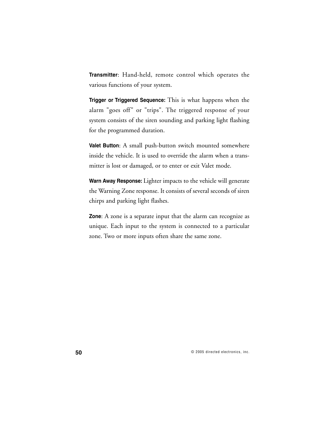**Transmitter**: Hand-held, remote control which operates the various functions of your system.

**Trigger or Triggered Sequence:** This is what happens when the alarm "goes off" or "trips". The triggered response of your system consists of the siren sounding and parking light flashing for the programmed duration.

**Valet Button**: A small push-button switch mounted somewhere inside the vehicle. It is used to override the alarm when a transmitter is lost or damaged, or to enter or exit Valet mode.

**Warn Away Response:** Lighter impacts to the vehicle will generate the Warning Zone response. It consists of several seconds of siren chirps and parking light flashes.

**Zone**: A zone is a separate input that the alarm can recognize as unique. Each input to the system is connected to a particular zone. Two or more inputs often share the same zone.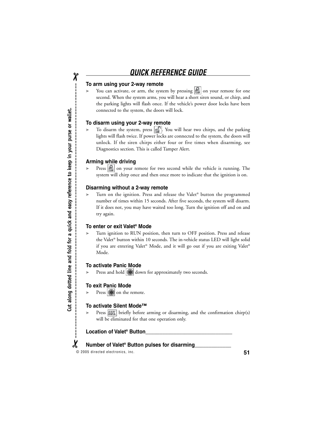# **QUICK REFERENCE GUIDE**

#### **To arm using your 2-way remote**

You can activate, or arm, the system by pressing  $\left| \bigcap \right|$  on your remote for one second. When the system arms, you will hear a short siren sound, or chirp, and the parking lights will flash once. If the vehicle's power door locks have been connected to the system, the doors will lock.

#### **To disarm using your 2-way remote**

 $\triangleright$  To disarm the system, press  $\|\cdot\|^2$ . You will hear two chirps, and the parking lights will flash twice. If power locks are connected to the system, the doors will unlock. If the siren chirps either four or five times when disarming, see Diagnostics section. This is called Tamper Alert.

#### **Arming while driving**

Press  $\left|\mathbf{B}\right|$  on your remote for two second while the vehicle is running. The system will chirp once and then once more to indicate that the ignition is on.

#### **Disarming without a 2-way remote**

Turn on the ignition. Press and release the Valet® button the programmed number of times within 15 seconds. After five seconds, the system will disarm. If it does not, you may have waited too long. Turn the ignition off and on and try again.

#### **To enter or exit Valet® Mode**

➤ Turn ignition to RUN position, then turn to OFF position. Press and release the Valet® button within 10 seconds. The in-vehicle status LED will light solid if you are entering Valet® Mode, and it will go out if you are exiting Valet® Mode.

#### **To activate Panic Mode**

Press and hold **down** for approximately two seconds.

#### **To exit Panic Mode**

Press **\*** on the remote.

#### **To activate Silent Mode™**

Press  $\text{MIN}$  briefly before arming or disarming, and the confirmation chirp(s) will be eliminated for that one operation only.

#### **Location of Valet® Button\_\_\_\_\_\_\_\_\_\_\_\_\_\_\_\_\_\_\_\_\_\_\_\_\_\_\_\_\_\_\_**

#### **Number of Valet® Button pulses for disarming\_\_\_\_\_\_\_\_\_\_\_\_\_**  $\boldsymbol{\chi}$

© 2005 directed electronics, inc. **51**

 $\chi$